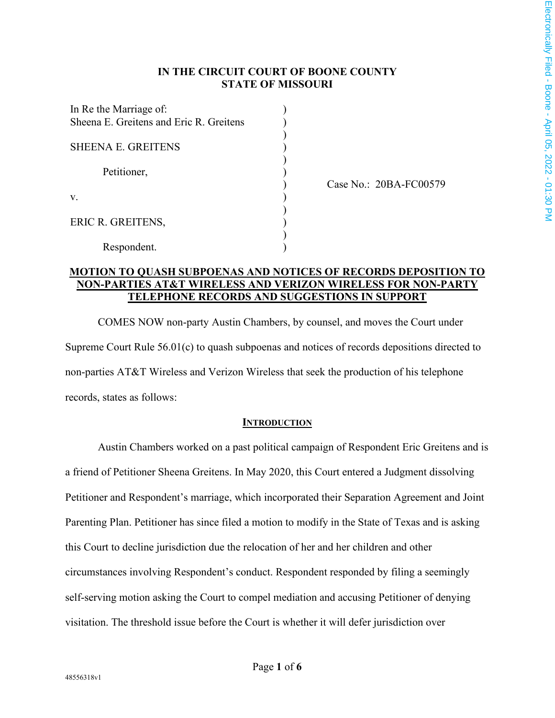## **IN THE CIRCUIT COURT OF BOONE COUNTY STATE OF MISSOURI**

) ) ) ) ) ) ) ) ) ) ) )

| In Re the Marriage of:<br>Sheena E. Greitens and Eric R. Greitens |  |
|-------------------------------------------------------------------|--|
| <b>SHEENA E. GREITENS</b>                                         |  |
| Petitioner,                                                       |  |
| V.                                                                |  |
| ERIC R. GREITENS,                                                 |  |
| Respondent.                                                       |  |

Case No.: 20BA-FC00579

## **MOTION TO QUASH SUBPOENAS AND NOTICES OF RECORDS DEPOSITION TO NON-PARTIES AT&T WIRELESS AND VERIZON WIRELESS FOR NON-PARTY TELEPHONE RECORDS AND SUGGESTIONS IN SUPPORT**

COMES NOW non-party Austin Chambers, by counsel, and moves the Court under Supreme Court Rule 56.01(c) to quash subpoenas and notices of records depositions directed to non-parties AT&T Wireless and Verizon Wireless that seek the production of his telephone records, states as follows:

### **INTRODUCTION**

Austin Chambers worked on a past political campaign of Respondent Eric Greitens and is a friend of Petitioner Sheena Greitens. In May 2020, this Court entered a Judgment dissolving Petitioner and Respondent's marriage, which incorporated their Separation Agreement and Joint Parenting Plan. Petitioner has since filed a motion to modify in the State of Texas and is asking this Court to decline jurisdiction due the relocation of her and her children and other circumstances involving Respondent's conduct. Respondent responded by filing a seemingly self-serving motion asking the Court to compel mediation and accusing Petitioner of denying visitation. The threshold issue before the Court is whether it will defer jurisdiction over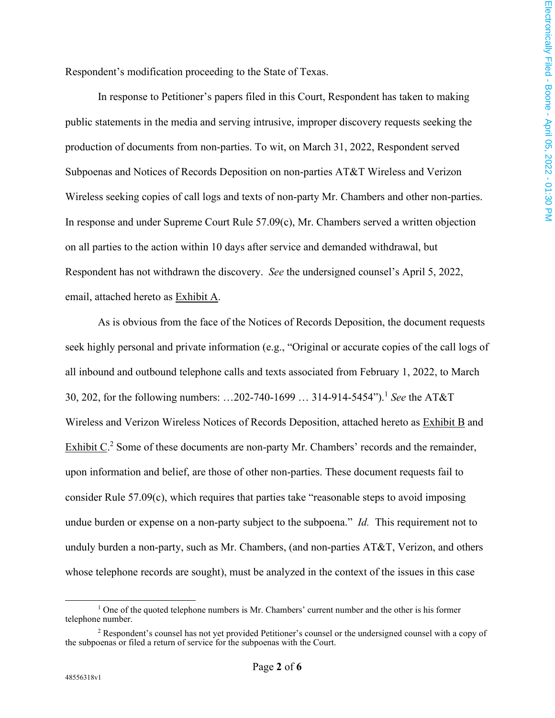Respondent's modification proceeding to the State of Texas.

In response to Petitioner's papers filed in this Court, Respondent has taken to making public statements in the media and serving intrusive, improper discovery requests seeking the production of documents from non-parties. To wit, on March 31, 2022, Respondent served Subpoenas and Notices of Records Deposition on non-parties AT&T Wireless and Verizon Wireless seeking copies of call logs and texts of non-party Mr. Chambers and other non-parties. In response and under Supreme Court Rule 57.09(c), Mr. Chambers served a written objection on all parties to the action within 10 days after service and demanded withdrawal, but Respondent has not withdrawn the discovery. *See* the undersigned counsel's April 5, 2022, email, attached hereto as Exhibit A.

As is obvious from the face of the Notices of Records Deposition, the document requests seek highly personal and private information (e.g., "Original or accurate copies of the call logs of all inbound and outbound telephone calls and texts associated from February 1, 2022, to March 30, 202, for the following numbers: ...202-740-1699 ... 314-914-5454").<sup>1</sup> See the AT&T Wireless and Verizon Wireless Notices of Records Deposition, attached hereto as **Exhibit B** and Exhibit  $C<sup>2</sup>$  Some of these documents are non-party Mr. Chambers' records and the remainder, upon information and belief, are those of other non-parties. These document requests fail to consider Rule 57.09(c), which requires that parties take "reasonable steps to avoid imposing undue burden or expense on a non-party subject to the subpoena." *Id.* This requirement not to unduly burden a non-party, such as Mr. Chambers, (and non-parties AT&T, Verizon, and others whose telephone records are sought), must be analyzed in the context of the issues in this case

<sup>&</sup>lt;sup>1</sup> One of the quoted telephone numbers is Mr. Chambers' current number and the other is his former telephone number.

<sup>&</sup>lt;sup>2</sup> Respondent's counsel has not yet provided Petitioner's counsel or the undersigned counsel with a copy of the subpoenas or filed a return of service for the subpoenas with the Court.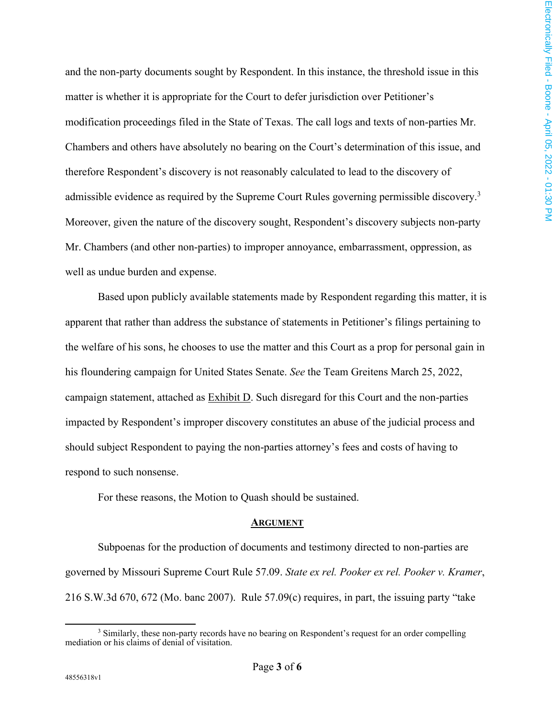and the non-party documents sought by Respondent. In this instance, the threshold issue in this matter is whether it is appropriate for the Court to defer jurisdiction over Petitioner's modification proceedings filed in the State of Texas. The call logs and texts of non-parties Mr. Chambers and others have absolutely no bearing on the Court's determination of this issue, and therefore Respondent's discovery is not reasonably calculated to lead to the discovery of admissible evidence as required by the Supreme Court Rules governing permissible discovery.<sup>3</sup> Moreover, given the nature of the discovery sought, Respondent's discovery subjects non-party Mr. Chambers (and other non-parties) to improper annoyance, embarrassment, oppression, as well as undue burden and expense.

Based upon publicly available statements made by Respondent regarding this matter, it is apparent that rather than address the substance of statements in Petitioner's filings pertaining to the welfare of his sons, he chooses to use the matter and this Court as a prop for personal gain in his floundering campaign for United States Senate. *See* the Team Greitens March 25, 2022, campaign statement, attached as Exhibit D. Such disregard for this Court and the non-parties impacted by Respondent's improper discovery constitutes an abuse of the judicial process and should subject Respondent to paying the non-parties attorney's fees and costs of having to respond to such nonsense.

For these reasons, the Motion to Quash should be sustained.

#### **ARGUMENT**

Subpoenas for the production of documents and testimony directed to non-parties are governed by Missouri Supreme Court Rule 57.09. *State ex rel. Pooker ex rel. Pooker v. Kramer*, 216 S.W.3d 670, 672 (Mo. banc 2007). Rule 57.09(c) requires, in part, the issuing party "take

<sup>&</sup>lt;sup>3</sup> Similarly, these non-party records have no bearing on Respondent's request for an order compelling mediation or his claims of denial of visitation.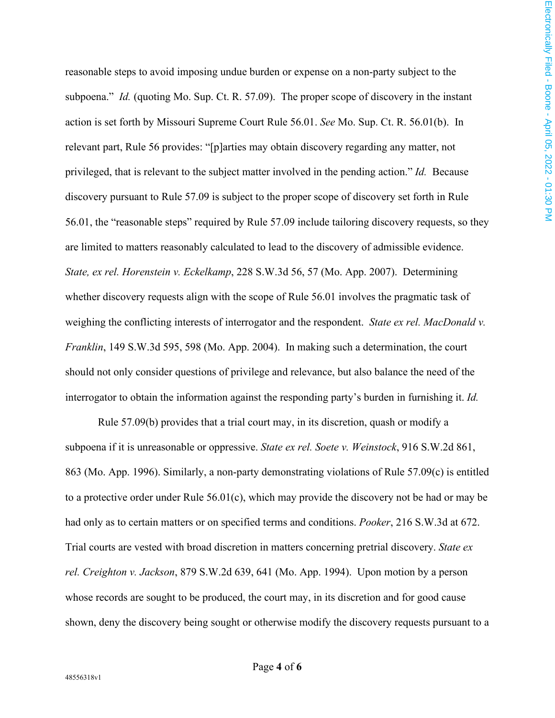reasonable steps to avoid imposing undue burden or expense on a non-party subject to the subpoena." *Id.* (quoting Mo. Sup. Ct. R. 57.09). The proper scope of discovery in the instant action is set forth by Missouri Supreme Court Rule 56.01. *See* Mo. Sup. Ct. R. 56.01(b). In relevant part, Rule 56 provides: "[p]arties may obtain discovery regarding any matter, not privileged, that is relevant to the subject matter involved in the pending action." *Id.* Because discovery pursuant to Rule 57.09 is subject to the proper scope of discovery set forth in Rule 56.01, the "reasonable steps" required by Rule 57.09 include tailoring discovery requests, so they are limited to matters reasonably calculated to lead to the discovery of admissible evidence. *State, ex rel. Horenstein v. Eckelkamp*, 228 S.W.3d 56, 57 (Mo. App. 2007). Determining whether discovery requests align with the scope of Rule 56.01 involves the pragmatic task of weighing the conflicting interests of interrogator and the respondent. *State ex rel. MacDonald v. Franklin*, 149 S.W.3d 595, 598 (Mo. App. 2004). In making such a determination, the court should not only consider questions of privilege and relevance, but also balance the need of the interrogator to obtain the information against the responding party's burden in furnishing it. *Id.*

Rule 57.09(b) provides that a trial court may, in its discretion, quash or modify a subpoena if it is unreasonable or oppressive. *State ex rel. Soete v. Weinstock*, 916 S.W.2d 861, 863 (Mo. App. 1996). Similarly, a non-party demonstrating violations of Rule 57.09(c) is entitled to a protective order under Rule 56.01(c), which may provide the discovery not be had or may be had only as to certain matters or on specified terms and conditions. *Pooker*, 216 S.W.3d at 672. Trial courts are vested with broad discretion in matters concerning pretrial discovery. *State ex rel. Creighton v. Jackson*, 879 S.W.2d 639, 641 (Mo. App. 1994). Upon motion by a person whose records are sought to be produced, the court may, in its discretion and for good cause shown, deny the discovery being sought or otherwise modify the discovery requests pursuant to a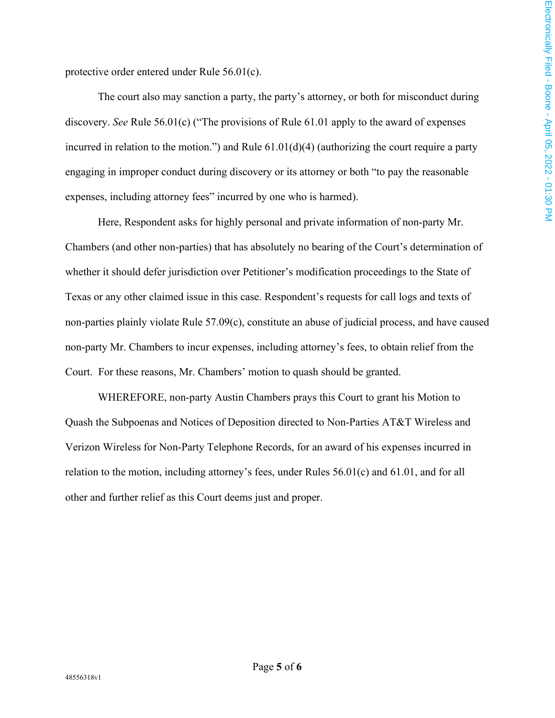protective order entered under Rule 56.01(c).

The court also may sanction a party, the party's attorney, or both for misconduct during discovery. *See* Rule 56.01(c) ("The provisions of Rule 61.01 apply to the award of expenses incurred in relation to the motion.") and Rule 61.01(d)(4) (authorizing the court require a party engaging in improper conduct during discovery or its attorney or both "to pay the reasonable expenses, including attorney fees" incurred by one who is harmed).

Here, Respondent asks for highly personal and private information of non-party Mr. Chambers (and other non-parties) that has absolutely no bearing of the Court's determination of whether it should defer jurisdiction over Petitioner's modification proceedings to the State of Texas or any other claimed issue in this case. Respondent's requests for call logs and texts of non-parties plainly violate Rule 57.09(c), constitute an abuse of judicial process, and have caused non-party Mr. Chambers to incur expenses, including attorney's fees, to obtain relief from the Court. For these reasons, Mr. Chambers' motion to quash should be granted.

WHEREFORE, non-party Austin Chambers prays this Court to grant his Motion to Quash the Subpoenas and Notices of Deposition directed to Non-Parties AT&T Wireless and Verizon Wireless for Non-Party Telephone Records, for an award of his expenses incurred in relation to the motion, including attorney's fees, under Rules 56.01(c) and 61.01, and for all other and further relief as this Court deems just and proper.